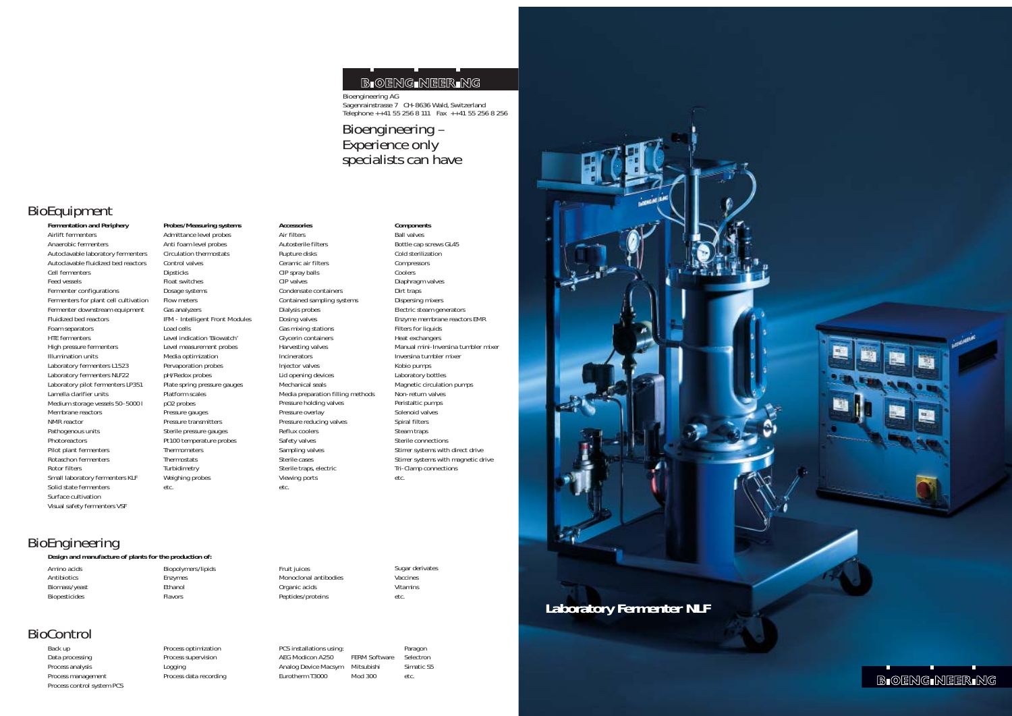**Laboratory Fermenter NLF**

**B-OENG-NEER-NG** 

**Fermentation and Periphery** Airlift fermenters Anaerobic fermenters Autoclavable laboratory fermenters Autoclavable fluidized bed reactors Cell fermenters Feed vessels Fermenter configurations Fermenters for plant cell cultivation Fermenter downstream equipment Fluidized bed reactors Foam separators HTE fermenters High pressure fermenters Illumination units Laboratory fermenters L1523 Laboratory fermenters NLF22 Laboratory pilot fermenters LP351 Lamella clarifier units Medium storage vessels 50–5000 l Membrane reactors NMR reactor Pathogenous units Photoreactors Pilot plant fermenters Rotaschon fermenters Rotor filters Small laboratory fermenters KLF Solid state fermenters Surface cultivation Visual safety fermenters VSF

**Probes/Measuring systems** Admittance level probes Anti foam level probes Circulation thermostats Control valves Dipsticks Float switches Dosage systems Flow meters Gas analyzers IFM - Intelligent Front Modules Load cells Level indication 'Biowatch' Level measurement probes Media optimization Pervaporation probes pH/Redox probes Plate spring pressure gauges Platform scales pO2 probes Pressure gauges Pressure transmitters Sterile pressure gauges Pt100 temperature probes Thermometers Thermostats Turbidimetry Weighing probes etc.

#### **Accessories**

PCS installations using: example are paragon AEG Modicon A250 FERM Software Selectron Analog Device Macsym Mitsubishi Simatic S5 Eurotherm T3000 Mod 300 etc.



### Bioengineering – Experience only specialists can have

Air filters Autosterile filters Rupture disks Ceramic air filters CIP spray balls CIP valves Condensate containers Contained sampling systems Dialysis probes Dosing valves Gas mixing stations Glycerin containers Harvesting valves Incinerators Injector valves Lid opening devices Mechanical seals Media preparation filling methods Pressure holding valves Pressure overlay Pressure reducing valves Reflux coolers Safety valves Sampling valves Sterile cases Sterile traps, electric Viewing ports etc.

**Components** Ball valves Bottle cap screws GL45 Cold sterilization Compressors Coolers Diaphragm valves Dirt traps Dispersing mixers Electric steam generators Enzyme membrane reactors EMR Filters for liquids Heat exchangers Manual mini-Inversina tumbler mixer Inversina tumbler mixer Kobio pumps Laboratory bottles Magnetic circulation pumps Non-return valves Peristaltic pumps Solenoid valves Spiral filters Steam traps Sterile connections Stirrer systems with direct drive Stirrer systems with magnetic drive Tri-Clamp connections etc.

Amino acids Antibiotics Biomass/yeast Biopesticides

Biopolymers/lipids Enzymes Ethanol Flavors

Fruit juices Monoclonal antibodies Organic acids Peptides/proteins

Sugar derivates Vaccines Vitamins etc.

Back up Data processing Process analysis Process management Process control system PCS Process optimization Process supervision Logging Process data recording

## BioEquipment

### BioEngineering

**Design and manufacture of plants for the production of:**

# BioControl

### **B-OENG-NEER-NG**

Bioengineering AG Sagenrainstrasse 7 CH-8636 Wald, Switzerland Telephone ++41 55 256 8 111 Fax ++41 55 256 8 256